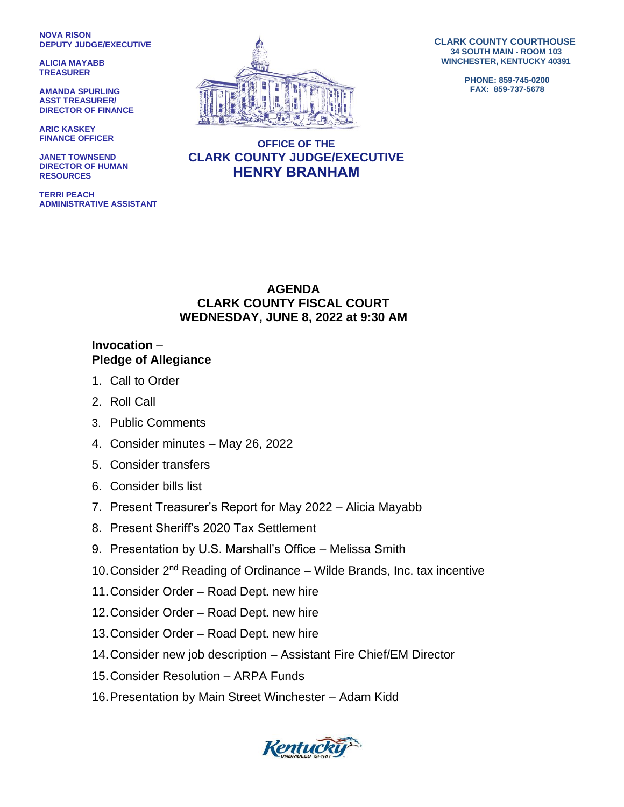**NOVA RISON DEPUTY JUDGE/EXECUTIVE**

**ALICIA MAYABB TREASURER**

**AMANDA SPURLING ASST TREASURER/ DIRECTOR OF FINANCE**

**ARIC KASKEY FINANCE OFFICER**

**JANET TOWNSEND DIRECTOR OF HUMAN RESOURCES**

**TERRI PEACH ADMINISTRATIVE ASSISTANT**



**CLARK COUNTY COURTHOUSE 34 SOUTH MAIN - ROOM 103 WINCHESTER, KENTUCKY 40391**

> **PHONE: 859-745-0200 FAX: 859-737-5678**

## **OFFICE OF THE CLARK COUNTY JUDGE/EXECUTIVE HENRY BRANHAM**

## **AGENDA CLARK COUNTY FISCAL COURT WEDNESDAY, JUNE 8, 2022 at 9:30 AM**

## **Invocation** – **Pledge of Allegiance**

- 1. Call to Order
- 2. Roll Call
- 3. Public Comments
- 4. Consider minutes May 26, 2022
- 5. Consider transfers
- 6. Consider bills list
- 7. Present Treasurer's Report for May 2022 Alicia Mayabb
- 8. Present Sheriff's 2020 Tax Settlement
- 9. Presentation by U.S. Marshall's Office Melissa Smith
- 10. Consider  $2^{nd}$  Reading of Ordinance Wilde Brands, Inc. tax incentive
- 11.Consider Order Road Dept. new hire
- 12.Consider Order Road Dept. new hire
- 13.Consider Order Road Dept. new hire
- 14.Consider new job description Assistant Fire Chief/EM Director
- 15.Consider Resolution ARPA Funds
- 16.Presentation by Main Street Winchester Adam Kidd